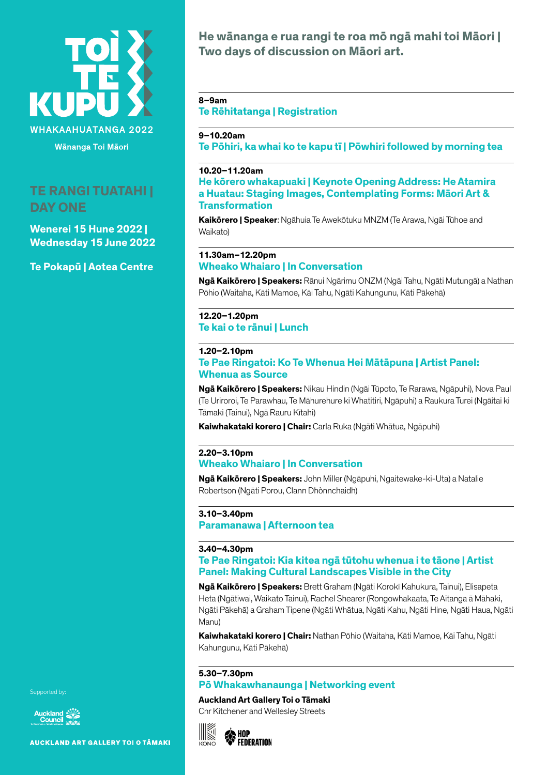

Wānanga Toi Māori

# **TE RANGI TUATAHI | DAY ONE**

**Wenerei 15 Hune 2022 | Wednesday 15 June 2022**

**Te Pokapū | Aotea Centre**

**He wānanga e rua rangi te roa mō ngā mahi toi Māori | Two days of discussion on Māori art.**

### **8–9am**

**Te Rēhitatanga | Registration**

# **9–10.20am**

**Te Pōhiri, ka whai ko te kapu tī | Pōwhiri followed by morning tea**

### **10.20–11.20am**

**He kōrero whakapuaki | Keynote Opening Address: He Atamira a Huatau: Staging Images, Contemplating Forms: Māori Art & Transformation**

**Kaikōrero | Speaker**: Ngāhuia Te Awekōtuku MNZM (Te Arawa, Ngāi Tūhoe and Waikato)

### **11.30am–12.20pm**

### **Wheako Whaiaro | In Conversation**

**Ngā Kaikōrero | Speakers:** Rānui Ngārimu ONZM (Ngāi Tahu, Ngāti Mutungā) a Nathan Pōhio (Waitaha, Kāti Mamoe, Kāi Tahu, Ngāti Kahungunu, Kāti Pākehā)

# **12.20–1.20pm**

**Te kai o te rānui | Lunch**

### **1.20–2.10pm**

# **Te Pae Ringatoi: Ko Te Whenua Hei Mātāpuna | Artist Panel: Whenua as Source**

**Ngā Kaikōrero | Speakers:** Nikau Hindin (Ngāi Tūpoto, Te Rarawa, Ngāpuhi), Nova Paul (Te Uriroroi, Te Parawhau, Te Māhurehure ki Whatitiri, Ngāpuhi) a Raukura Turei (Ngāitai ki Tāmaki (Tainui), Ngā Rauru Kītahi)

**Kaiwhakataki korero | Chair:** Carla Ruka (Ngāti Whātua, Ngāpuhi)

### **2.20–3.10pm Wheako Whaiaro | In Conversation**

**Ngā Kaikōrero | Speakers:** John Miller (Ngāpuhi, Ngaitewake-ki-Uta) a Natalie Robertson (Ngāti Porou, Clann Dhònnchaidh)

### **3.10–3.40pm**

**Paramanawa | Afternoon tea** 

### **3.40–4.30pm**

# **Te Pae Ringatoi: Kia kitea ngā tūtohu whenua i te tāone | Artist Panel: Making Cultural Landscapes Visible in the City**

**Ngā Kaikōrero | Speakers:** Brett Graham (Ngāti Korokī Kahukura, Tainui), Elisapeta Heta (Ngātiwai, Waikato Tainui), Rachel Shearer (Rongowhakaata, Te Aitanga ā Māhaki, Ngāti Pākehā) a Graham Tipene (Ngāti Whātua, Ngāti Kahu, Ngāti Hine, Ngāti Haua, Ngāti Manu)

**Kaiwhakataki korero | Chair:** Nathan Pōhio (Waitaha, Kāti Mamoe, Kāi Tahu, Ngāti Kahungunu, Kāti Pākehā)

# **5.30–7.30pm**

### **Pō Whakawhanaunga | Networking event**

### **Auckland Art Gallery Toi o Tāmaki**

Cnr Kitchener and Wellesley Streets

$$
\begin{array}{ccc}\n\hline\n\text{MOP} \\
\hline\n\text{MOP} \\
\text{FEDERATION}\n\end{array}
$$